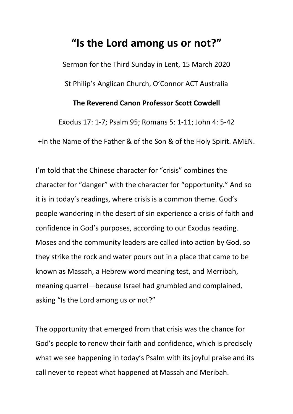## **"Is the Lord among us or not?"**

Sermon for the Third Sunday in Lent, 15 March 2020 St Philip's Anglican Church, O'Connor ACT Australia

## **The Reverend Canon Professor Scott Cowdell**

Exodus 17: 1-7; Psalm 95; Romans 5: 1-11; John 4: 5-42 +In the Name of the Father & of the Son & of the Holy Spirit. AMEN.

I'm told that the Chinese character for "crisis" combines the character for "danger" with the character for "opportunity." And so it is in today's readings, where crisis is a common theme. God's people wandering in the desert of sin experience a crisis of faith and confidence in God's purposes, according to our Exodus reading. Moses and the community leaders are called into action by God, so they strike the rock and water pours out in a place that came to be known as Massah, a Hebrew word meaning test, and Merribah, meaning quarrel—because Israel had grumbled and complained, asking "Is the Lord among us or not?"

The opportunity that emerged from that crisis was the chance for God's people to renew their faith and confidence, which is precisely what we see happening in today's Psalm with its joyful praise and its call never to repeat what happened at Massah and Meribah.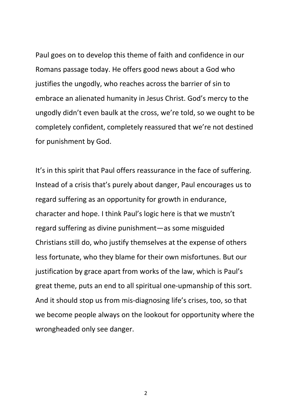Paul goes on to develop this theme of faith and confidence in our Romans passage today. He offers good news about a God who justifies the ungodly, who reaches across the barrier of sin to embrace an alienated humanity in Jesus Christ. God's mercy to the ungodly didn't even baulk at the cross, we're told, so we ought to be completely confident, completely reassured that we're not destined for punishment by God.

It's in this spirit that Paul offers reassurance in the face of suffering. Instead of a crisis that's purely about danger, Paul encourages us to regard suffering as an opportunity for growth in endurance, character and hope. I think Paul's logic here is that we mustn't regard suffering as divine punishment—as some misguided Christians still do, who justify themselves at the expense of others less fortunate, who they blame for their own misfortunes. But our justification by grace apart from works of the law, which is Paul's great theme, puts an end to all spiritual one-upmanship of this sort. And it should stop us from mis-diagnosing life's crises, too, so that we become people always on the lookout for opportunity where the wrongheaded only see danger.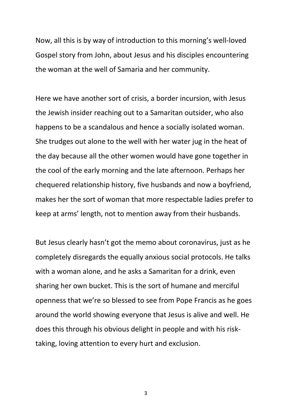Now, all this is by way of introduction to this morning's well-loved Gospel story from John, about Jesus and his disciples encountering the woman at the well of Samaria and her community.

Here we have another sort of crisis, a border incursion, with Jesus the Jewish insider reaching out to a Samaritan outsider, who also happens to be a scandalous and hence a socially isolated woman. She trudges out alone to the well with her water jug in the heat of the day because all the other women would have gone together in the cool of the early morning and the late afternoon. Perhaps her chequered relationship history, five husbands and now a boyfriend, makes her the sort of woman that more respectable ladies prefer to keep at arms' length, not to mention away from their husbands.

But Jesus clearly hasn't got the memo about coronavirus, just as he completely disregards the equally anxious social protocols. He talks with a woman alone, and he asks a Samaritan for a drink, even sharing her own bucket. This is the sort of humane and merciful openness that we're so blessed to see from Pope Francis as he goes around the world showing everyone that Jesus is alive and well. He does this through his obvious delight in people and with his risktaking, loving attention to every hurt and exclusion.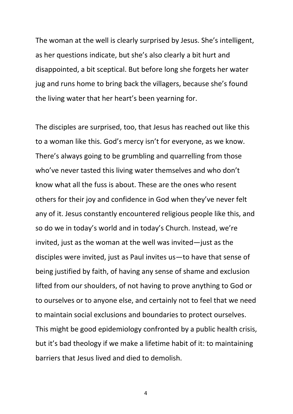The woman at the well is clearly surprised by Jesus. She's intelligent, as her questions indicate, but she's also clearly a bit hurt and disappointed, a bit sceptical. But before long she forgets her water jug and runs home to bring back the villagers, because she's found the living water that her heart's been yearning for.

The disciples are surprised, too, that Jesus has reached out like this to a woman like this. God's mercy isn't for everyone, as we know. There's always going to be grumbling and quarrelling from those who've never tasted this living water themselves and who don't know what all the fuss is about. These are the ones who resent others for their joy and confidence in God when they've never felt any of it. Jesus constantly encountered religious people like this, and so do we in today's world and in today's Church. Instead, we're invited, just as the woman at the well was invited—just as the disciples were invited, just as Paul invites us—to have that sense of being justified by faith, of having any sense of shame and exclusion lifted from our shoulders, of not having to prove anything to God or to ourselves or to anyone else, and certainly not to feel that we need to maintain social exclusions and boundaries to protect ourselves. This might be good epidemiology confronted by a public health crisis, but it's bad theology if we make a lifetime habit of it: to maintaining barriers that Jesus lived and died to demolish.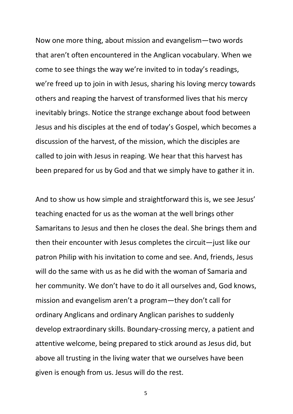Now one more thing, about mission and evangelism—two words that aren't often encountered in the Anglican vocabulary. When we come to see things the way we're invited to in today's readings, we're freed up to join in with Jesus, sharing his loving mercy towards others and reaping the harvest of transformed lives that his mercy inevitably brings. Notice the strange exchange about food between Jesus and his disciples at the end of today's Gospel, which becomes a discussion of the harvest, of the mission, which the disciples are called to join with Jesus in reaping. We hear that this harvest has been prepared for us by God and that we simply have to gather it in.

And to show us how simple and straightforward this is, we see Jesus' teaching enacted for us as the woman at the well brings other Samaritans to Jesus and then he closes the deal. She brings them and then their encounter with Jesus completes the circuit—just like our patron Philip with his invitation to come and see. And, friends, Jesus will do the same with us as he did with the woman of Samaria and her community. We don't have to do it all ourselves and, God knows, mission and evangelism aren't a program—they don't call for ordinary Anglicans and ordinary Anglican parishes to suddenly develop extraordinary skills. Boundary-crossing mercy, a patient and attentive welcome, being prepared to stick around as Jesus did, but above all trusting in the living water that we ourselves have been given is enough from us. Jesus will do the rest.